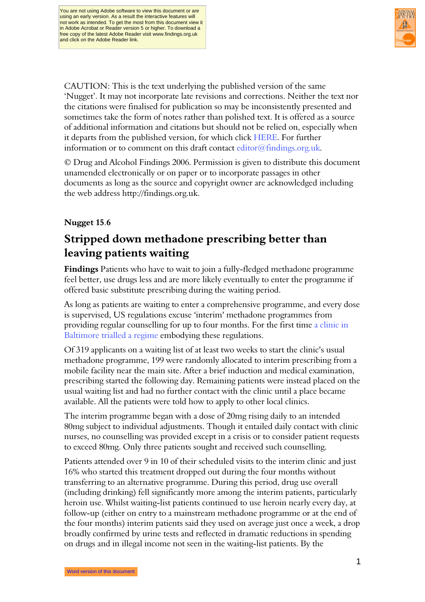

CAUTION: This is the text underlying the published version of the same 'Nugget'. It may not incorporate late revisions and corrections. Neither the text nor the citations were finalised for publication so may be inconsistently presented and sometimes take the form of notes rather than polished text. It is offered as a source of additional information and citations but should not be relied on, especially when it departs from the published version, for which click HERE. For further information or to comment on this draft contact editor@findings.org.uk.

© Drug and Alcohol Findings 2006. Permission is given to distribute this document unamended electronically or on paper or to incorporate passages in other documents as long as the source and copyright owner are acknowledged including the web address http://findings.org.uk.

### Nugget 15.6

# Stripped down methadone prescribing better than leaving patients waiting

Findings Patients who have to wait to join a fully-fledged methadone programme feel better, use drugs less and are more likely eventually to enter the programme if offered basic substitute prescribing during the waiting period.

As long as patients are waiting to enter a comprehensive programme, and every dose is supervised, US regulations excuse 'interim' methadone programmes from providing regular counselling for up to four months. For the first time [a clinic in](#page-2-0)  [Baltimore trialled a regime](#page-2-0) embodying these regulations.

Of 319 applicants on a waiting list of at least two weeks to start the clinic's usual methadone programme, 199 were randomly allocated to interim prescribing from a mobile facility near the main site. After a brief induction and medical examination, prescribing started the following day. Remaining patients were instead placed on the usual waiting list and had no further contact with the clinic until a place became available. All the patients were told how to apply to other local clinics.

The interim programme began with a dose of 20mg rising daily to an intended 80mg subject to individual adjustments. Though it entailed daily contact with clinic nurses, no counselling was provided except in a crisis or to consider patient requests to exceed 80mg. Only three patients sought and received such counselling.

Patients attended over 9 in 10 of their scheduled visits to the interim clinic and just 16% who started this treatment dropped out during the four months without transferring to an alternative programme. During this period, drug use overall (including drinking) fell significantly more among the interim patients, particularly heroin use. Whilst waiting-list patients continued to use heroin nearly every day, at follow-up (either on entry to a mainstream methadone programme or at the end of the four months) interim patients said they used on average just once a week, a drop broadly confirmed by urine tests and reflected in dramatic reductions in spending on drugs and in illegal income not seen in the waiting-list patients. By the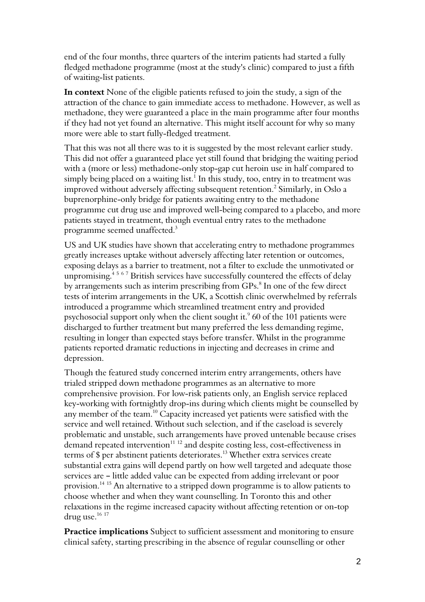end of the four months, three quarters of the interim patients had started a fully fledged methadone programme (most at the study's clinic) compared to just a fifth of waiting-list patients.

In context None of the eligible patients refused to join the study, a sign of the attraction of the chance to gain immediate access to methadone. However, as well as methadone, they were guaranteed a place in the main programme after four months if they had not yet found an alternative. This might itself account for why so many more were able to start fully-fledged treatment.

That this was not all there was to it is suggested by the most relevant earlier study. This did not offer a guaranteed place yet still found that bridging the waiting period with a (more or less) methadone-only stop-gap cut heroin use in half compared to simply being placed on a waiting list. $^1$  In this study, too, entry in to treatment was improved without adversely affecting subsequent retention. $^2$  Similarly, in Oslo a buprenorphine-only bridge for patients awaiting entry to the methadone programme cut drug use and improved well-being compared to a placebo, and more patients stayed in treatment, though eventual entry rates to the methadone programme seemed unaffected. $^3$ 

US and UK studies have shown that accelerating entry to methadone programmes greatly increases uptake without adversely affecting later retention or outcomes, exposing delays as a barrier to treatment, not a filter to exclude the unmotivated or unpromising.<sup>4567</sup> British services have successfully countered the effects of delay by arrangements such as interim prescribing from GPs.<sup>8</sup> In one of the few direct tests of interim arrangements in the UK, a Scottish clinic overwhelmed by referrals introduced a programme which streamlined treatment entry and provided psychosocial support only when the client sought it. $\degree$  60 of the 101 patients were discharged to further treatment but many preferred the less demanding regime, resulting in longer than expected stays before transfer. Whilst in the programme patients reported dramatic reductions in injecting and decreases in crime and depression.

Though the featured study concerned interim entry arrangements, others have trialed stripped down methadone programmes as an alternative to more comprehensive provision. For low-risk patients only, an English service replaced key-working with fortnightly drop-ins during which clients might be counselled by any member of the team.<sup>10</sup> Capacity increased yet patients were satisfied with the service and well retained. Without such selection, and if the caseload is severely problematic and unstable, such arrangements have proved untenable because crises demand repeated intervention<sup>11 12</sup> and despite costing less, cost-effectiveness in terms of \$ per abstinent patients deteriorates.<sup>13</sup> Whether extra services create substantial extra gains will depend partly on how well targeted and adequate those services are - little added value can be expected from adding irrelevant or poor provision.<sup>14</sup> <sup>15</sup> An alternative to a stripped down programme is to allow patients to choose whether and when they want counselling. In Toronto this and other relaxations in the regime increased capacity without affecting retention or on-top drug use.<sup>16 17</sup>

Practice implications Subject to sufficient assessment and monitoring to ensure clinical safety, starting prescribing in the absence of regular counselling or other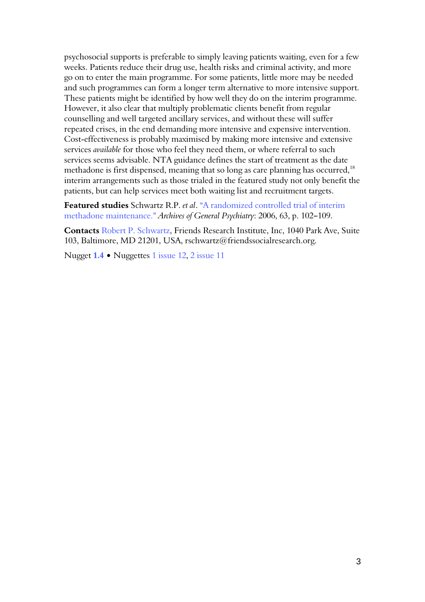<span id="page-2-0"></span>psychosocial supports is preferable to simply leaving patients waiting, even for a few weeks. Patients reduce their drug use, health risks and criminal activity, and more go on to enter the main programme. For some patients, little more may be needed and such programmes can form a longer term alternative to more intensive support. These patients might be identified by how well they do on the interim programme. However, it also clear that multiply problematic clients benefit from regular counselling and well targeted ancillary services, and without these will suffer repeated crises, in the end demanding more intensive and expensive intervention. Cost-effectiveness is probably maximised by making more intensive and extensive services available for those who feel they need them, or where referral to such services seems advisable. NTA guidance defines the start of treatment as the date methadone is first dispensed, meaning that so long as care planning has occurred,<sup>18</sup> interim arrangements such as those trialed in the featured study not only benefit the patients, but can help services meet both waiting list and recruitment targets.

Featured studies Schwartz R.P. et al. "A randomized controlled trial of interim methadone maintenance." Archives of General Psychiatry: 2006, 63, p. 102-109.

Contacts Robert P. Schwartz, Friends Research Institute, Inc, 1040 Park Ave, Suite 103, Baltimore, MD 21201, USA, rschwartz@friendssocialresearch.org.

Nugget 1.4 • Nuggettes 1 issue 12, 2 issue 11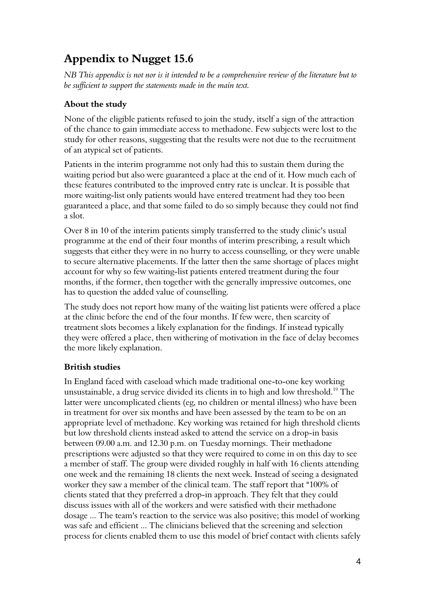# Appendix to Nugget 15.6

NB This appendix is not nor is it intended to be a comprehensive review of the literature but to be sufficient to support the statements made in the main text.

## About the study

None of the eligible patients refused to join the study, itself a sign of the attraction of the chance to gain immediate access to methadone. Few subjects were lost to the study for other reasons, suggesting that the results were not due to the recruitment of an atypical set of patients.

Patients in the interim programme not only had this to sustain them during the waiting period but also were guaranteed a place at the end of it. How much each of these features contributed to the improved entry rate is unclear. It is possible that more waiting-list only patients would have entered treatment had they too been guaranteed a place, and that some failed to do so simply because they could not find a slot.

Over 8 in 10 of the interim patients simply transferred to the study clinic's usual programme at the end of their four months of interim prescribing, a result which suggests that either they were in no hurry to access counselling, or they were unable to secure alternative placements. If the latter then the same shortage of places might account for why so few waiting-list patients entered treatment during the four months, if the former, then together with the generally impressive outcomes, one has to question the added value of counselling.

The study does not report how many of the waiting list patients were offered a place at the clinic before the end of the four months. If few were, then scarcity of treatment slots becomes a likely explanation for the findings. If instead typically they were offered a place, then withering of motivation in the face of delay becomes the more likely explanation.

### British studies

In England faced with caseload which made traditional one-to-one key working unsustainable, a drug service divided its clients in to high and low threshold.<sup>19</sup> The latter were uncomplicated clients (eg, no children or mental illness) who have been in treatment for over six months and have been assessed by the team to be on an appropriate level of methadone. Key working was retained for high threshold clients but low threshold clients instead asked to attend the service on a drop-in basis between 09.00 a.m. and 12.30 p.m. on Tuesday mornings. Their methadone prescriptions were adjusted so that they were required to come in on this day to see a member of staff. The group were divided roughly in half with 16 clients attending one week and the remaining 18 clients the next week. Instead of seeing a designated worker they saw a member of the clinical team. The staff report that "100% of clients stated that they preferred a drop-in approach. They felt that they could discuss issues with all of the workers and were satisfied with their methadone dosage ... The team's reaction to the service was also positive; this model of working was safe and efficient ... The clinicians believed that the screening and selection process for clients enabled them to use this model of brief contact with clients safely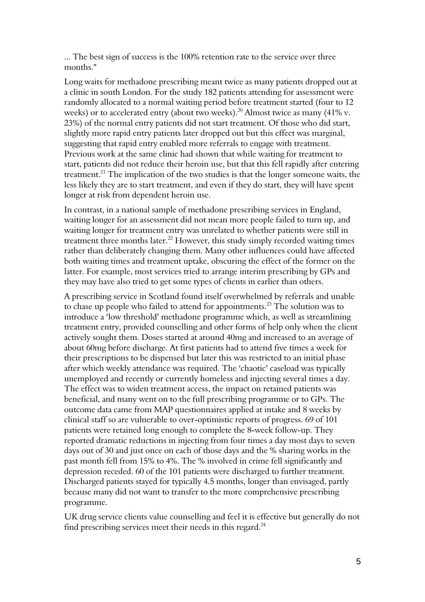... The best sign of success is the 100% retention rate to the service over three months."

Long waits for methadone prescribing meant twice as many patients dropped out at a clinic in south London. For the study 182 patients attending for assessment were randomly allocated to a normal waiting period before treatment started (four to 12 weeks) or to accelerated entry (about two weeks).<sup>20</sup> Almost twice as many (41% v. 23%) of the normal entry patients did not start treatment. Of those who did start, slightly more rapid entry patients later dropped out but this effect was marginal, suggesting that rapid entry enabled more referrals to engage with treatment. Previous work at the same clinic had shown that while waiting for treatment to start, patients did not reduce their heroin use, but that this fell rapidly after entering treatment.<sup>21</sup> The implication of the two studies is that the longer someone waits, the less likely they are to start treatment, and even if they do start, they will have spent longer at risk from dependent heroin use.

In contrast, in a national sample of methadone prescribing services in England, waiting longer for an assessment did not mean more people failed to turn up, and waiting longer for treatment entry was unrelated to whether patients were still in treatment three months later. $^{22}$  However, this study simply recorded waiting times rather than deliberately changing them. Many other influences could have affected both waiting times and treatment uptake, obscuring the effect of the former on the latter. For example, most services tried to arrange interim prescribing by GPs and they may have also tried to get some types of clients in earlier than others.

A prescribing service in Scotland found itself overwhelmed by referrals and unable to chase up people who failed to attend for appointments.<sup>23</sup> The solution was to introduce a 'low threshold' methadone programme which, as well as streamlining treatment entry, provided counselling and other forms of help only when the client actively sought them. Doses started at around 40mg and increased to an average of about 60mg before discharge. At first patients had to attend five times a week for their prescriptions to be dispensed but later this was restricted to an initial phase after which weekly attendance was required. The 'chaotic' caseload was typically unemployed and recently or currently homeless and injecting several times a day. The effect was to widen treatment access, the impact on retained patients was beneficial, and many went on to the full prescribing programme or to GPs. The outcome data came from MAP questionnaires applied at intake and 8 weeks by clinical staff so are vulnerable to over-optimistic reports of progress. 69 of 101 patients were retained long enough to complete the 8-week follow-up. They reported dramatic reductions in injecting from four times a day most days to seven days out of 30 and just once on each of those days and the % sharing works in the past month fell from 15% to 4%. The % involved in crime fell significantly and depression receded. 60 of the 101 patients were discharged to further treatment. Discharged patients stayed for typically 4.5 months, longer than envisaged, partly because many did not want to transfer to the more comprehensive prescribing programme.

UK drug service clients value counselling and feel it is effective but generally do not find prescribing services meet their needs in this regard.<sup>24</sup>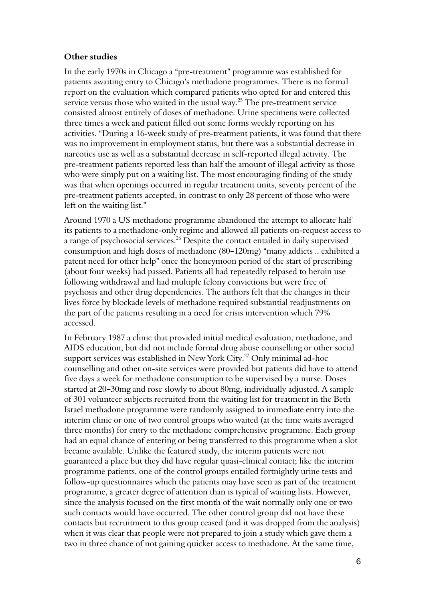#### Other studies

In the early 1970s in Chicago a "pre-treatment" programme was established for patients awaiting entry to Chicago's methadone programmes. There is no formal report on the evaluation which compared patients who opted for and entered this service versus those who waited in the usual way.<sup>25</sup> The pre-treatment service consisted almost entirely of doses of methadone. Urine specimens were collected three times a week and patient filled out some forms weekly reporting on his activities. "During a 16-week study of pre-treatment patients, it was found that there was no improvement in employment status, but there was a substantial decrease in narcotics use as well as a substantial decrease in self-reported illegal activity. The pre-treatment patients reported less than half the amount of illegal activity as those who were simply put on a waiting list. The most encouraging finding of the study was that when openings occurred in regular treatment units, seventy percent of the pre-treatment patients accepted, in contrast to only 28 percent of those who were left on the waiting list."

Around 1970 a US methadone programme abandoned the attempt to allocate half its patients to a methadone-only regime and allowed all patients on-request access to a range of psychosocial services.<sup>26</sup> Despite the contact entailed in daily supervised consumption and high doses of methadone (80–120mg) "many addicts .. exhibited a patent need for other help" once the honeymoon period of the start of prescribing (about four weeks) had passed. Patients all had repeatedly relpased to heroin use following withdrawal and had multiple felony convictions but were free of psychosis and other drug dependencies. The authors felt that the changes in their lives force by blockade levels of methadone required substantial readjustments on the part of the patients resulting in a need for crisis intervention which 79% accessed.

In February 1987 a clinic that provided initial medical evaluation, methadone, and AIDS education, but did not include formal drug abuse counselling or other social support services was established in New York City.<sup>27</sup> Only minimal ad-hoc counselling and other on-site services were provided but patients did have to attend five days a week for methadone consumption to be supervised by a nurse. Doses started at 20-30mg and rose slowly to about 80mg, individually adjusted. A sample of 301 volunteer subjects recruited from the waiting list for treatment in the Beth Israel methadone programme were randomly assigned to immediate entry into the interim clinic or one of two control groups who waited (at the time waits averaged three months) for entry to the methadone comprehensive programme. Each group had an equal chance of entering or being transferred to this programme when a slot became available. Unlike the featured study, the interim patients were not guaranteed a place but they did have regular quasi-clinical contact; like the interim programme patients, one of the control groups entailed fortnightly urine tests and follow-up questionnaires which the patients may have seen as part of the treatment programme, a greater degree of attention than is typical of waiting lists. However, since the analysis focused on the first month of the wait normally only one or two such contacts would have occurred. The other control group did not have these contacts but recruitment to this group ceased (and it was dropped from the analysis) when it was clear that people were not prepared to join a study which gave them a two in three chance of not gaining quicker access to methadone. At the same time,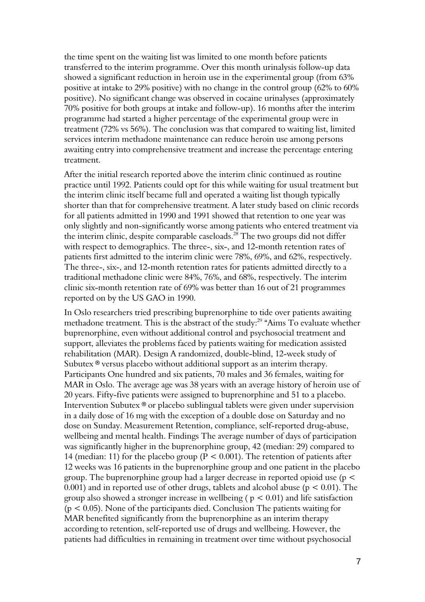the time spent on the waiting list was limited to one month before patients transferred to the interim programme. Over this month urinalysis follow-up data showed a significant reduction in heroin use in the experimental group (from 63% positive at intake to 29% positive) with no change in the control group (62% to 60% positive). No significant change was observed in cocaine urinalyses (approximately 70% positive for both groups at intake and follow-up). 16 months after the interim programme had started a higher percentage of the experimental group were in treatment (72% vs 56%). The conclusion was that compared to waiting list, limited services interim methadone maintenance can reduce heroin use among persons awaiting entry into comprehensive treatment and increase the percentage entering treatment.

After the initial research reported above the interim clinic continued as routine practice until 1992. Patients could opt for this while waiting for usual treatment but the interim clinic itself became full and operated a waiting list though typically shorter than that for comprehensive treatment. A later study based on clinic records for all patients admitted in 1990 and 1991 showed that retention to one year was only slightly and non-significantly worse among patients who entered treatment via the interim clinic, despite comparable caseloads.<sup>28</sup> The two groups did not differ with respect to demographics. The three-, six-, and 12-month retention rates of patients first admitted to the interim clinic were 78%, 69%, and 62%, respectively. The three-, six-, and 12-month retention rates for patients admitted directly to a traditional methadone clinic were 84%, 76%, and 68%, respectively. The interim clinic six-month retention rate of 69% was better than 16 out of 21 programmes reported on by the US GAO in 1990.

In Oslo researchers tried prescribing buprenorphine to tide over patients awaiting methadone treatment. This is the abstract of the study: $^{29}$  "Aims To evaluate whether buprenorphine, even without additional control and psychosocial treatment and support, alleviates the problems faced by patients waiting for medication assisted rehabilitation (MAR). Design A randomized, double-blind, 12-week study of Subutex  $\mathcal{O}$  versus placebo without additional support as an interim therapy. Participants One hundred and six patients, 70 males and 36 females, waiting for MAR in Oslo. The average age was 38 years with an average history of heroin use of 20 years. Fifty-five patients were assigned to buprenorphine and 51 to a placebo. Intervention Subutex <sup>®</sup> or placebo sublingual tablets were given under supervision in a daily dose of 16 mg with the exception of a double dose on Saturday and no dose on Sunday. Measurement Retention, compliance, self-reported drug-abuse, wellbeing and mental health. Findings The average number of days of participation was significantly higher in the buprenorphine group, 42 (median: 29) compared to 14 (median: 11) for the placebo group ( $P < 0.001$ ). The retention of patients after 12 weeks was 16 patients in the buprenorphine group and one patient in the placebo group. The buprenorphine group had a larger decrease in reported opioid use (p < 0.001) and in reported use of other drugs, tablets and alcohol abuse ( $p < 0.01$ ). The group also showed a stronger increase in wellbeing ( $p < 0.01$ ) and life satisfaction  $(p < 0.05)$ . None of the participants died. Conclusion The patients waiting for MAR benefited significantly from the buprenorphine as an interim therapy according to retention, self-reported use of drugs and wellbeing. However, the patients had difficulties in remaining in treatment over time without psychosocial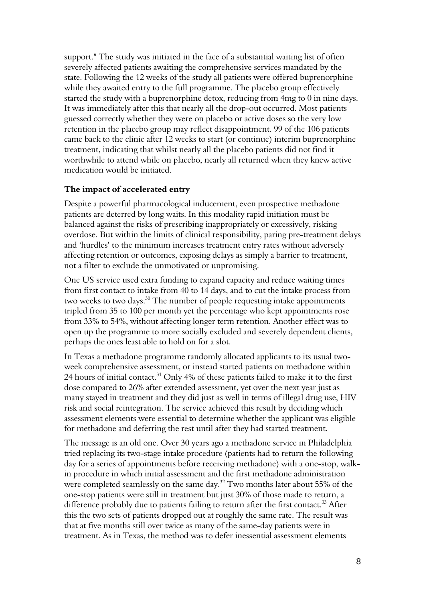support." The study was initiated in the face of a substantial waiting list of often severely affected patients awaiting the comprehensive services mandated by the state. Following the 12 weeks of the study all patients were offered buprenorphine while they awaited entry to the full programme. The placebo group effectively started the study with a buprenorphine detox, reducing from 4mg to 0 in nine days. It was immediately after this that nearly all the drop-out occurred. Most patients guessed correctly whether they were on placebo or active doses so the very low retention in the placebo group may reflect disappointment. 99 of the 106 patients came back to the clinic after 12 weeks to start (or continue) interim buprenorphine treatment, indicating that whilst nearly all the placebo patients did not find it worthwhile to attend while on placebo, nearly all returned when they knew active medication would be initiated.

#### The impact of accelerated entry

Despite a powerful pharmacological inducement, even prospective methadone patients are deterred by long waits. In this modality rapid initiation must be balanced against the risks of prescribing inappropriately or excessively, risking overdose. But within the limits of clinical responsibility, paring pre-treatment delays and 'hurdles' to the minimum increases treatment entry rates without adversely affecting retention or outcomes, exposing delays as simply a barrier to treatment, not a filter to exclude the unmotivated or unpromising.

One US service used extra funding to expand capacity and reduce waiting times from first contact to intake from 40 to 14 days, and to cut the intake process from two weeks to two days.<sup>30</sup> The number of people requesting intake appointments tripled from 35 to 100 per month yet the percentage who kept appointments rose from 33% to 54%, without affecting longer term retention. Another effect was to open up the programme to more socially excluded and severely dependent clients, perhaps the ones least able to hold on for a slot.

In Texas a methadone programme randomly allocated applicants to its usual twoweek comprehensive assessment, or instead started patients on methadone within 24 hours of initial contact.<sup>31</sup> Only 4% of these patients failed to make it to the first dose compared to 26% after extended assessment, yet over the next year just as many stayed in treatment and they did just as well in terms of illegal drug use, HIV risk and social reintegration. The service achieved this result by deciding which assessment elements were essential to determine whether the applicant was eligible for methadone and deferring the rest until after they had started treatment.

The message is an old one. Over 30 years ago a methadone service in Philadelphia tried replacing its two-stage intake procedure (patients had to return the following day for a series of appointments before receiving methadone) with a one-stop, walkin procedure in which initial assessment and the first methadone administration were completed seamlessly on the same day.<sup>32</sup> Two months later about 55% of the one-stop patients were still in treatment but just 30% of those made to return, a difference probably due to patients failing to return after the first contact.<sup>33</sup> After this the two sets of patients dropped out at roughly the same rate. The result was that at five months still over twice as many of the same-day patients were in treatment. As in Texas, the method was to defer inessential assessment elements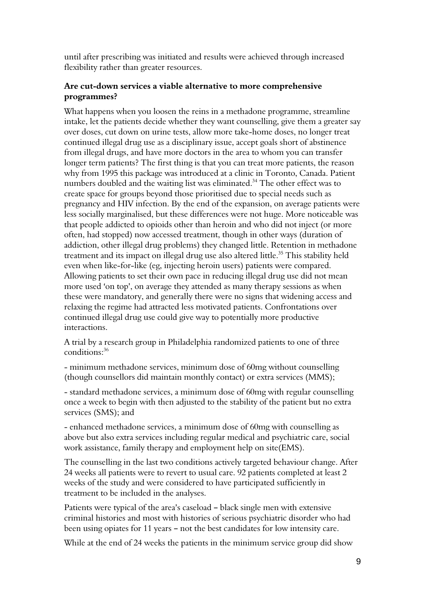until after prescribing was initiated and results were achieved through increased flexibility rather than greater resources.

#### Are cut-down services a viable alternative to more comprehensive programmes?

What happens when you loosen the reins in a methadone programme, streamline intake, let the patients decide whether they want counselling, give them a greater say over doses, cut down on urine tests, allow more take-home doses, no longer treat continued illegal drug use as a disciplinary issue, accept goals short of abstinence from illegal drugs, and have more doctors in the area to whom you can transfer longer term patients? The first thing is that you can treat more patients, the reason why from 1995 this package was introduced at a clinic in Toronto, Canada. Patient numbers doubled and the waiting list was eliminated. <sup>34</sup> The other effect was to create space for groups beyond those prioritised due to special needs such as pregnancy and HIV infection. By the end of the expansion, on average patients were less socially marginalised, but these differences were not huge. More noticeable was that people addicted to opioids other than heroin and who did not inject (or more often, had stopped) now accessed treatment, though in other ways (duration of addiction, other illegal drug problems) they changed little. Retention in methadone treatment and its impact on illegal drug use also altered little.<sup>35</sup> This stability held even when like-for-like (eg, injecting heroin users) patients were compared. Allowing patients to set their own pace in reducing illegal drug use did not mean more used 'on top', on average they attended as many therapy sessions as when these were mandatory, and generally there were no signs that widening access and relaxing the regime had attracted less motivated patients. Confrontations over continued illegal drug use could give way to potentially more productive interactions.

A trial by a research group in Philadelphia randomized patients to one of three conditions:<sup>36</sup>

- minimum methadone services, minimum dose of 60mg without counselling (though counsellors did maintain monthly contact) or extra services (MMS);

- standard methadone services, a minimum dose of 60mg with regular counselling once a week to begin with then adjusted to the stability of the patient but no extra services (SMS); and

- enhanced methadone services, a minimum dose of 60mg with counselling as above but also extra services including regular medical and psychiatric care, social work assistance, family therapy and employment help on site(EMS).

The counselling in the last two conditions actively targeted behaviour change. After 24 weeks all patients were to revert to usual care. 92 patients completed at least 2 weeks of the study and were considered to have participated sufficiently in treatment to be included in the analyses.

Patients were typical of the area's caseload - black single men with extensive criminal histories and most with histories of serious psychiatric disorder who had been using opiates for 11 years - not the best candidates for low intensity care.

While at the end of 24 weeks the patients in the minimum service group did show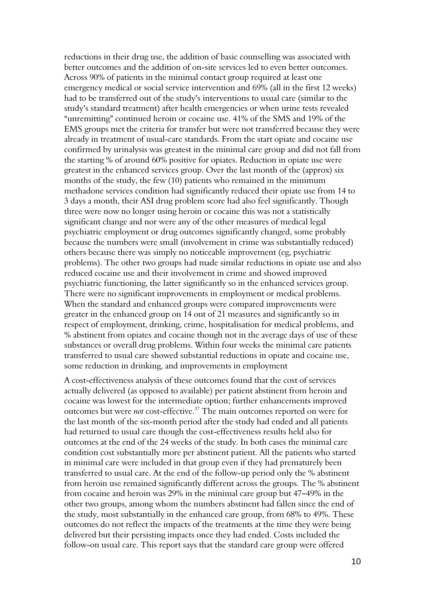reductions in their drug use, the addition of basic counselling was associated with better outcomes and the addition of on-site services led to even better outcomes. Across 90% of patients in the minimal contact group required at least one emergency medical or social service intervention and 69% (all in the first 12 weeks) had to be transferred out of the study's interventions to usual care (similar to the study's standard treatment) after health emergencies or when urine tests revealed "unremitting" continued heroin or cocaine use. 41% of the SMS and 19% of the EMS groups met the criteria for transfer but were not transferred because they were already in treatment of usual-care standards. From the start opiate and cocaine use confirmed by urinalysis was greatest in the minimal care group and did not fall from the starting % of around 60% positive for opiates. Reduction in opiate use were greatest in the enhanced services group. Over the last month of the (approx) six months of the study, the few (10) patients who remained in the minimum methadone services condition had significantly reduced their opiate use from 14 to 3 days a month, their ASI drug problem score had also feel significantly. Though three were now no longer using heroin or cocaine this was not a statistically significant change and nor were any of the other measures of medical legal psychiatric employment or drug outcomes significantly changed, some probably because the numbers were small (involvement in crime was substantially reduced) others because there was simply no noticeable improvement (eg, psychiatric problems). The other two groups had made similar reductions in opiate use and also reduced cocaine use and their involvement in crime and showed improved psychiatric functioning, the latter significantly so in the enhanced services group. There were no significant improvements in employment or medical problems. When the standard and enhanced groups were compared improvements were greater in the enhanced group on 14 out of 21 measures and significantly so in respect of employment, drinking, crime, hospitalisation for medical problems, and % abstinent from opiates and cocaine though not in the average days of use of these substances or overall drug problems. Within four weeks the minimal care patients transferred to usual care showed substantial reductions in opiate and cocaine use, some reduction in drinking, and improvements in employment

A cost-effectiveness analysis of these outcomes found that the cost of services actually delivered (as opposed to available) per patient abstinent from heroin and cocaine was lowest for the intermediate option; further enhancements improved outcomes but were not cost-effective.<sup>37</sup> The main outcomes reported on were for the last month of the six-month period after the study had ended and all patients had returned to usual care though the cost-effectiveness results held also for outcomes at the end of the 24 weeks of the study. In both cases the minimal care condition cost substantially more per abstinent patient. All the patients who started in minimal care were included in that group even if they had prematurely been transferred to usual care. At the end of the follow-up period only the % abstinent from heroin use remained significantly different across the groups. The % abstinent from cocaine and heroin was  $29\%$  in the minimal care group but  $47-49\%$  in the other two groups, among whom the numbers abstinent had fallen since the end of the study, most substantially in the enhanced care group, from 68% to 49%. These outcomes do not reflect the impacts of the treatments at the time they were being delivered but their persisting impacts once they had ended. Costs included the follow-on usual care. This report says that the standard care group were offered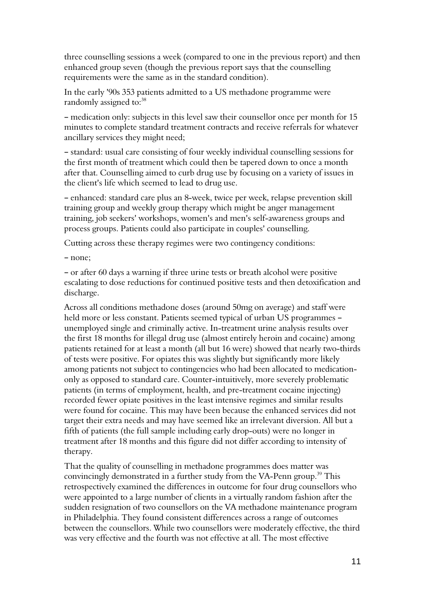three counselling sessions a week (compared to one in the previous report) and then enhanced group seven (though the previous report says that the counselling requirements were the same as in the standard condition).

In the early '90s 353 patients admitted to a US methadone programme were randomly assigned to:<sup>38</sup>

- medication only: subjects in this level saw their counsellor once per month for 15 minutes to complete standard treatment contracts and receive referrals for whatever ancillary services they might need;

- standard: usual care consisting of four weekly individual counselling sessions for the first month of treatment which could then be tapered down to once a month after that. Counselling aimed to curb drug use by focusing on a variety of issues in the client's life which seemed to lead to drug use.

- enhanced: standard care plus an 8-week, twice per week, relapse prevention skill training group and weekly group therapy which might be anger management training, job seekers' workshops, women's and men's self-awareness groups and process groups. Patients could also participate in couples' counselling.

Cutting across these therapy regimes were two contingency conditions:

- none;

B or after 60 days a warning if three urine tests or breath alcohol were positive escalating to dose reductions for continued positive tests and then detoxification and discharge.

Across all conditions methadone doses (around 50mg on average) and staff were held more or less constant. Patients seemed typical of urban US programmes unemployed single and criminally active. In-treatment urine analysis results over the first 18 months for illegal drug use (almost entirely heroin and cocaine) among patients retained for at least a month (all but 16 were) showed that nearly two-thirds of tests were positive. For opiates this was slightly but significantly more likely among patients not subject to contingencies who had been allocated to medicationonly as opposed to standard care. Counter-intuitively, more severely problematic patients (in terms of employment, health, and pre-treatment cocaine injecting) recorded fewer opiate positives in the least intensive regimes and similar results were found for cocaine. This may have been because the enhanced services did not target their extra needs and may have seemed like an irrelevant diversion. All but a fifth of patients (the full sample including early drop-outs) were no longer in treatment after 18 months and this figure did not differ according to intensity of therapy.

That the quality of counselling in methadone programmes does matter was convincingly demonstrated in a further study from the VA-Penn group.<sup>39</sup> This retrospectively examined the differences in outcome for four drug counsellors who were appointed to a large number of clients in a virtually random fashion after the sudden resignation of two counsellors on the VA methadone maintenance program in Philadelphia. They found consistent differences across a range of outcomes between the counsellors. While two counsellors were moderately effective, the third was very effective and the fourth was not effective at all. The most effective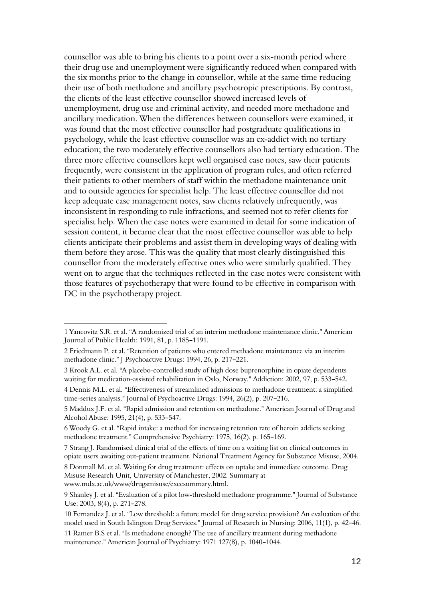counsellor was able to bring his clients to a point over a six-month period where their drug use and unemployment were significantly reduced when compared with the six months prior to the change in counsellor, while at the same time reducing their use of both methadone and ancillary psychotropic prescriptions. By contrast, the clients of the least effective counsellor showed increased levels of unemployment, drug use and criminal activity, and needed more methadone and ancillary medication. When the differences between counsellors were examined, it was found that the most effective counsellor had postgraduate qualifications in psychology, while the least effective counsellor was an ex-addict with no tertiary education; the two moderately effective counsellors also had tertiary education. The three more effective counsellors kept well organised case notes, saw their patients frequently, were consistent in the application of program rules, and often referred their patients to other members of staff within the methadone maintenance unit and to outside agencies for specialist help. The least effective counsellor did not keep adequate case management notes, saw clients relatively infrequently, was inconsistent in responding to rule infractions, and seemed not to refer clients for specialist help. When the case notes were examined in detail for some indication of session content, it became clear that the most effective counsellor was able to help clients anticipate their problems and assist them in developing ways of dealing with them before they arose. This was the quality that most clearly distinguished this counsellor from the moderately effective ones who were similarly qualified. They went on to argue that the techniques reflected in the case notes were consistent with those features of psychotherapy that were found to be effective in comparison with DC in the psychotherapy project.

l

<sup>1</sup> Yancovitz S.R. et al. "A randomized trial of an interim methadone maintenance clinic." American Journal of Public Health: 1991, 81, p. 1185-1191.

<sup>2</sup> Friedmann P. et al. "Retention of patients who entered methadone maintenance via an interim methadone clinic." J Psychoactive Drugs: 1994, 26, p. 217-221.

<sup>3</sup> Krook A.L. et al. "A placebo-controlled study of high dose buprenorphine in opiate dependents waiting for medication-assisted rehabilitation in Oslo, Norway." Addiction: 2002, 97, p. 533-542.

<sup>4</sup> Dennis M.L. et al. AEffectiveness of streamlined admissions to methadone treatment: a simplified time-series analysis." Journal of Psychoactive Drugs:  $1994$ ,  $26(2)$ , p.  $207-216$ .

<sup>5</sup> Maddux J.F. et al. "Rapid admission and retention on methadone." American Journal of Drug and Alcohol Abuse: 1995, 21(4), p. 533-547.

<sup>6</sup> Woody G. et al. "Rapid intake: a method for increasing retention rate of heroin addicts seeking methadone treatment." Comprehensive Psychiatry: 1975, 16(2), p. 165-169.

<sup>7</sup> Strang J. Randomised clinical trial of the effects of time on a waiting list on clinical outcomes in opiate users awaiting out-patient treatment. National Treatment Agency for Substance Misuse, 2004.

<sup>8</sup> Donmall M. et al. Waiting for drug treatment: effects on uptake and immediate outcome. Drug Misuse Research Unit, University of Manchester, 2002. Summary at www.mdx.ac.uk/www/drugsmisuse/execsummary.html.

<sup>9</sup> Shanley J. et al. "Evaluation of a pilot low-threshold methadone programme." Journal of Substance Use: 2003, 8(4), p. 271-278.

<sup>10</sup> Fernandez J. et al. "Low threshold: a future model for drug service provision? An evaluation of the model used in South Islington Drug Services." Journal of Research in Nursing: 2006, 11(1), p. 42-46.

<sup>11</sup> Ramer B.S et al. "Is methadone enough? The use of ancillary treatment during methadone maintenance." American Journal of Psychiatry: 1971 127(8), p. 1040-1044.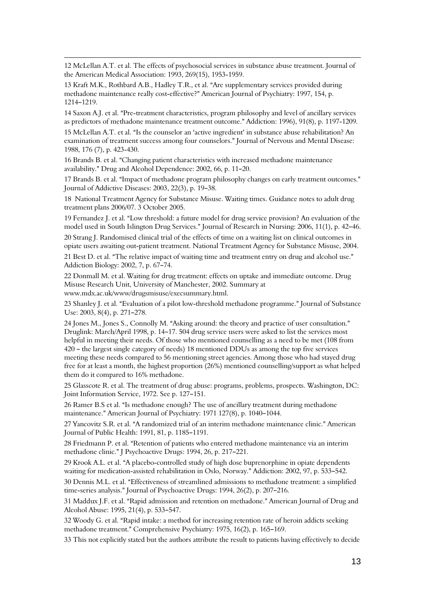12 McLellan A.T. et al. The effects of psychosocial services in substance abuse treatment. Journal of the American Medical Association: 1993, 269(15), 1953-1959.

13 Kraft M.K., Rothbard A.B., Hadley T.R., et al. "Are supplementary services provided during methadone maintenance really cost-effective?" American Journal of Psychiatry: 1997, 154, p. 1214-1219.

l

14 Saxon A.J. et al. "Pre-treatment characteristics, program philosophy and level of ancillary services as predictors of methadone maintenance treatment outcome." Addiction: 1996), 91(8), p. 1197-1209.

15 McLellan A.T. et al. "Is the counselor an 'active ingredient' in substance abuse rehabilitation? An examination of treatment success among four counselors." Journal of Nervous and Mental Disease: 1988, 176 (7), p. 423-430.

16 Brands B. et al. "Changing patient characteristics with increased methadone maintenance availability." Drug and Alcohol Dependence: 2002, 66, p. 11-20.

17 Brands B. et al. "Impact of methadone program philosophy changes on early treatment outcomes." Journal of Addictive Diseases: 2003, 22(3), p. 19-38.

18 National Treatment Agency for Substance Misuse. Waiting times. Guidance notes to adult drug treatment plans 2006/07. 3 October 2005.

19 Fernandez J. et al. "Low threshold: a future model for drug service provision? An evaluation of the model used in South Islington Drug Services." Journal of Research in Nursing: 2006, 11(1), p. 42–46.

20 Strang J. Randomised clinical trial of the effects of time on a waiting list on clinical outcomes in opiate users awaiting out-patient treatment. National Treatment Agency for Substance Misuse, 2004.

21 Best D. et al. "The relative impact of waiting time and treatment entry on drug and alcohol use." Addiction Biology: 2002, 7, p. 67-74.

22 Donmall M. et al. Waiting for drug treatment: effects on uptake and immediate outcome. Drug Misuse Research Unit, University of Manchester, 2002. Summary at www.mdx.ac.uk/www/drugsmisuse/execsummary.html.

23 Shanley J. et al. "Evaluation of a pilot low-threshold methadone programme." Journal of Substance Use: 2003, 8(4), p. 271-278.

24 Jones M., Jones S., Connolly M. "Asking around: the theory and practice of user consultation." Druglink: March/April 1998, p. 14-17. 504 drug service users were asked to list the services most helpful in meeting their needs. Of those who mentioned counselling as a need to be met (108 from 420 – the largest single category of needs) 18 mentioned DDUs as among the top five services meeting these needs compared to 56 mentioning street agencies. Among those who had stayed drug free for at least a month, the highest proportion (26%) mentioned counselling/support as what helped them do it compared to 16% methadone.

25 Glasscote R. et al. The treatment of drug abuse: programs, problems, prospects. Washington, DC: Joint Information Service, 1972. See p. 127-151.

26 Ramer B.S et al. "Is methadone enough? The use of ancillary treatment during methadone maintenance." American Journal of Psychiatry: 1971 127(8), p. 1040-1044.

27 Yancovitz S.R. et al. "A randomized trial of an interim methadone maintenance clinic." American Journal of Public Health: 1991, 81, p. 1185-1191.

28 Friedmann P. et al. "Retention of patients who entered methadone maintenance via an interim methadone clinic." J Psychoactive Drugs: 1994, 26, p. 217-221.

29 Krook A.L. et al. "A placebo-controlled study of high dose buprenorphine in opiate dependents waiting for medication-assisted rehabilitation in Oslo, Norway." Addiction: 2002, 97, p. 533-542.

30 Dennis M.L. et al. AEffectiveness of streamlined admissions to methadone treatment: a simplified time-series analysis." Journal of Psychoactive Drugs:  $1994$ ,  $26(2)$ , p.  $207-216$ .

31 Maddux J.F. et al. "Rapid admission and retention on methadone." American Journal of Drug and Alcohol Abuse: 1995, 21(4), p. 533-547.

32 Woody G. et al. "Rapid intake: a method for increasing retention rate of heroin addicts seeking methadone treatment." Comprehensive Psychiatry: 1975, 16(2), p. 165-169.

33 This not explicitly stated but the authors attribute the result to patients having effectively to decide